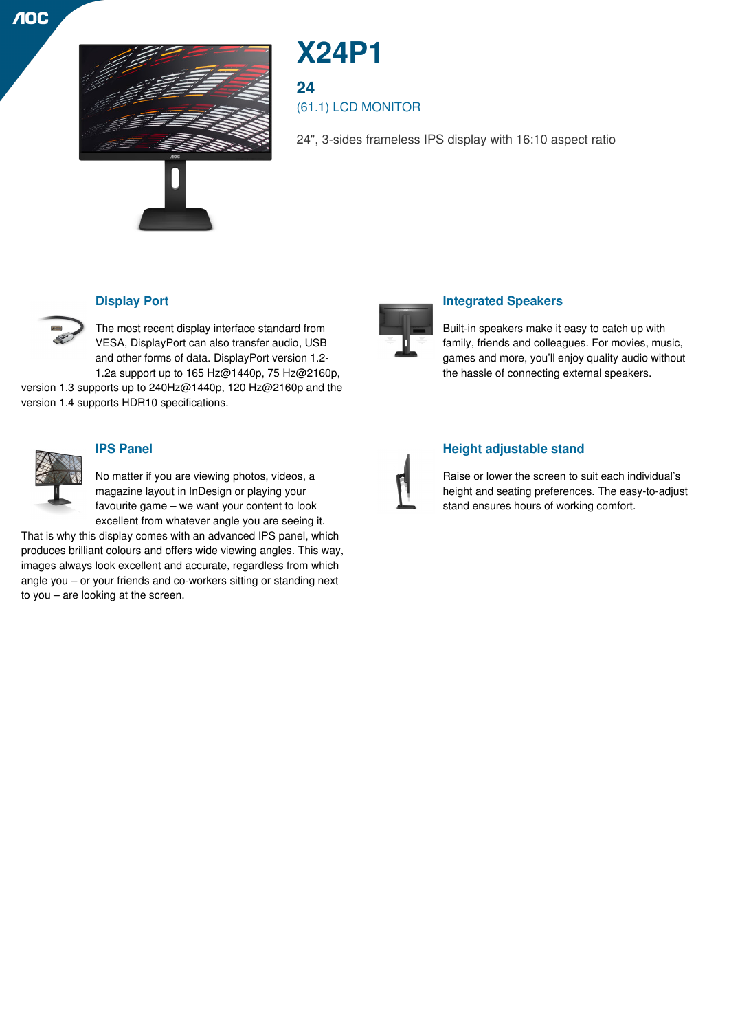



# **X24P1**

**24**

(61.1) LCD MONITOR

24", 3-sides frameless IPS display with 16:10 aspect ratio



## **Display Port**

The most recent display interface standard from VESA, DisplayPort can also transfer audio, USB and other forms of data. DisplayPort version 1.2- 1.2a support up to 165 Hz@1440p, 75 Hz@2160p,

version 1.3 supports up to 240Hz@1440p, 120 Hz@2160p and the version 1.4 supports HDR10 specifications.



#### **IPS Panel**

No matter if you are viewing photos, videos, a magazine layout in InDesign or playing your favourite game – we want your content to look excellent from whatever angle you are seeing it.

That is why this display comes with an advanced IPS panel, which produces brilliant colours and offers wide viewing angles. This way, images always look excellent and accurate, regardless from which angle you – or your friends and co-workers sitting or standing next to you – are looking at the screen.



## **Integrated Speakers**

Built-in speakers make it easy to catch up with family, friends and colleagues. For movies, music, games and more, you'll enjoy quality audio without the hassle of connecting external speakers.



#### **Height adjustable stand**

Raise or lower the screen to suit each individual's height and seating preferences. The easy-to-adjust stand ensures hours of working comfort.